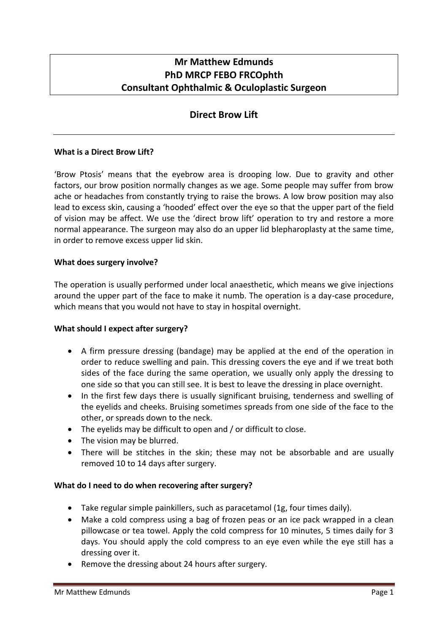# **Mr Matthew Edmunds PhD MRCP FEBO FRCOphth Consultant Ophthalmic & Oculoplastic Surgeon**

## **Direct Brow Lift**

#### **What is a Direct Brow Lift?**

'Brow Ptosis' means that the eyebrow area is drooping low. Due to gravity and other factors, our brow position normally changes as we age. Some people may suffer from brow ache or headaches from constantly trying to raise the brows. A low brow position may also lead to excess skin, causing a 'hooded' effect over the eye so that the upper part of the field of vision may be affect. We use the 'direct brow lift' operation to try and restore a more normal appearance. The surgeon may also do an upper lid blepharoplasty at the same time, in order to remove excess upper lid skin.

#### **What does surgery involve?**

The operation is usually performed under local anaesthetic, which means we give injections around the upper part of the face to make it numb. The operation is a day-case procedure, which means that you would not have to stay in hospital overnight.

#### **What should I expect after surgery?**

- A firm pressure dressing (bandage) may be applied at the end of the operation in order to reduce swelling and pain. This dressing covers the eye and if we treat both sides of the face during the same operation, we usually only apply the dressing to one side so that you can still see. It is best to leave the dressing in place overnight.
- In the first few days there is usually significant bruising, tenderness and swelling of the eyelids and cheeks. Bruising sometimes spreads from one side of the face to the other, or spreads down to the neck.
- The eyelids may be difficult to open and / or difficult to close.
- The vision may be blurred.
- There will be stitches in the skin; these may not be absorbable and are usually removed 10 to 14 days after surgery.

#### **What do I need to do when recovering after surgery?**

- Take regular simple painkillers, such as paracetamol (1g, four times daily).
- Make a cold compress using a bag of frozen peas or an ice pack wrapped in a clean pillowcase or tea towel. Apply the cold compress for 10 minutes, 5 times daily for 3 days. You should apply the cold compress to an eye even while the eye still has a dressing over it.
- Remove the dressing about 24 hours after surgery.